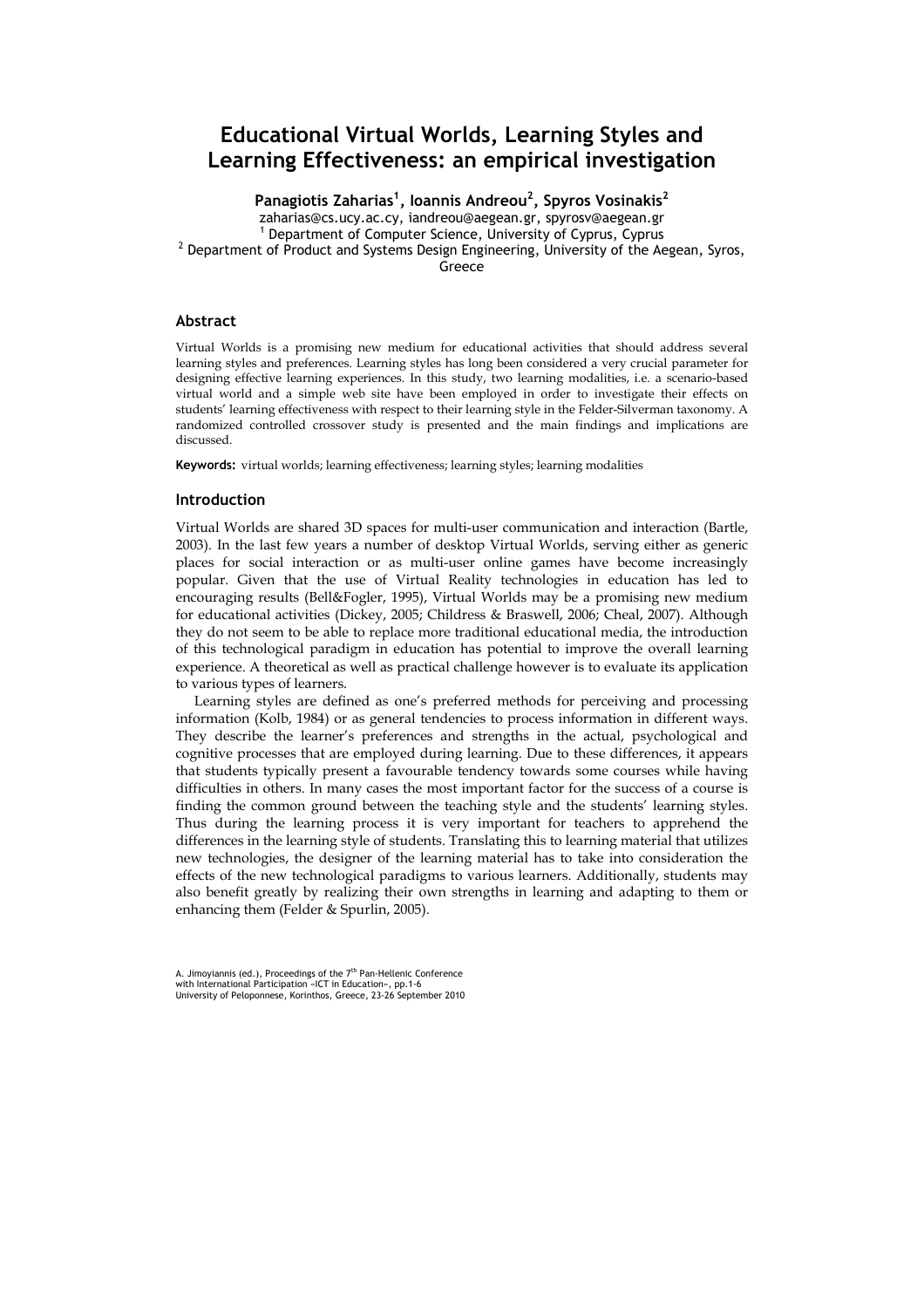# Educational Virtual Worlds, Learning Styles and Learning Effectiveness: an empirical investigation

Panagiotis Zaharias<sup>1</sup>, Ioannis Andreou<sup>2</sup>, Spyros Vosinakis<sup>2</sup> zaharias@cs.ucy.ac.cy, iandreou@aegean.gr, spyrosv@aegean.gr 1 Department of Computer Science, University of Cyprus, Cyprus  $^2$  Department of Product and Systems Design Engineering, University of the Aegean, Syros, Greece

#### Abstract

Virtual Worlds is a promising new medium for educational activities that should address several learning styles and preferences. Learning styles has long been considered a very crucial parameter for designing effective learning experiences. In this study, two learning modalities, i.e. a scenario-based virtual world and a simple web site have been employed in order to investigate their effects on students' learning effectiveness with respect to their learning style in the Felder-Silverman taxonomy. A randomized controlled crossover study is presented and the main findings and implications are discussed.

Keywords: virtual worlds; learning effectiveness; learning styles; learning modalities

## Introduction

Virtual Worlds are shared 3D spaces for multi-user communication and interaction (Bartle, 2003). In the last few years a number of desktop Virtual Worlds, serving either as generic places for social interaction or as multi-user online games have become increasingly popular. Given that the use of Virtual Reality technologies in education has led to encouraging results (Bell&Fogler, 1995), Virtual Worlds may be a promising new medium for educational activities (Dickey, 2005; Childress & Braswell, 2006; Cheal, 2007). Although they do not seem to be able to replace more traditional educational media, the introduction of this technological paradigm in education has potential to improve the overall learning experience. A theoretical as well as practical challenge however is to evaluate its application to various types of learners.

Learning styles are defined as one's preferred methods for perceiving and processing information (Kolb, 1984) or as general tendencies to process information in different ways. They describe the learner's preferences and strengths in the actual, psychological and cognitive processes that are employed during learning. Due to these differences, it appears that students typically present a favourable tendency towards some courses while having difficulties in others. In many cases the most important factor for the success of a course is finding the common ground between the teaching style and the students' learning styles. Thus during the learning process it is very important for teachers to apprehend the differences in the learning style of students. Translating this to learning material that utilizes new technologies, the designer of the learning material has to take into consideration the effects of the new technological paradigms to various learners. Additionally, students may also benefit greatly by realizing their own strengths in learning and adapting to them or enhancing them (Felder & Spurlin, 2005).

A. Jimoyiannis (ed.), Proceedings of the 7<sup>th</sup> Pan-Hellenic Conference<br>with International Participation «ICT in Education», pp.1-6<br>University of Peloponnese, Korinthos, Greece, 23-26 September 2010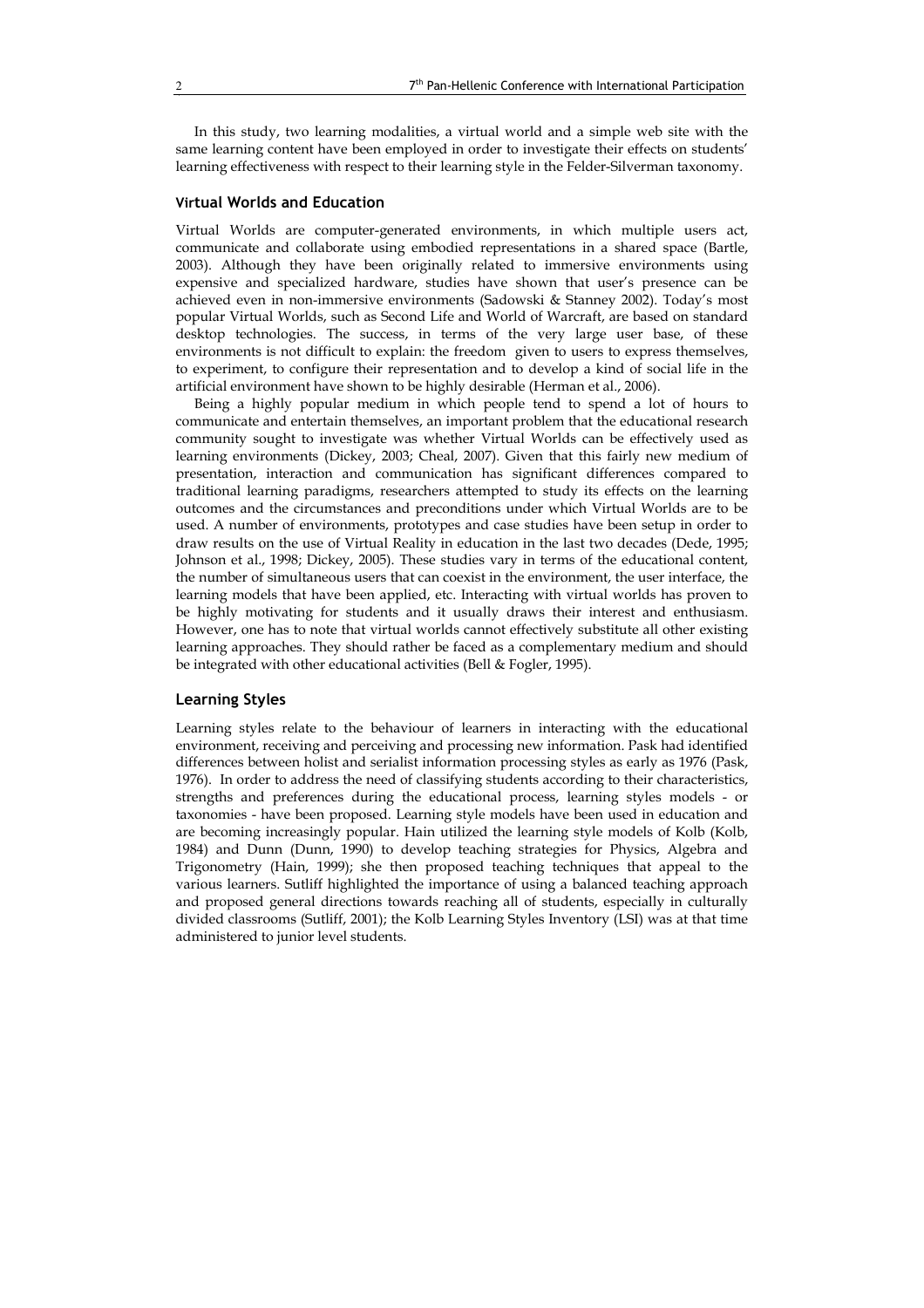In this study, two learning modalities, a virtual world and a simple web site with the same learning content have been employed in order to investigate their effects on students' learning effectiveness with respect to their learning style in the Felder-Silverman taxonomy.

# Virtual Worlds and Education

Virtual Worlds are computer-generated environments, in which multiple users act, communicate and collaborate using embodied representations in a shared space (Bartle, 2003). Although they have been originally related to immersive environments using expensive and specialized hardware, studies have shown that user's presence can be achieved even in non-immersive environments (Sadowski & Stanney 2002). Today's most popular Virtual Worlds, such as Second Life and World of Warcraft, are based on standard desktop technologies. The success, in terms of the very large user base, of these environments is not difficult to explain: the freedom given to users to express themselves, to experiment, to configure their representation and to develop a kind of social life in the artificial environment have shown to be highly desirable (Herman et al., 2006).

Being a highly popular medium in which people tend to spend a lot of hours to communicate and entertain themselves, an important problem that the educational research community sought to investigate was whether Virtual Worlds can be effectively used as learning environments (Dickey, 2003; Cheal, 2007). Given that this fairly new medium of presentation, interaction and communication has significant differences compared to traditional learning paradigms, researchers attempted to study its effects on the learning outcomes and the circumstances and preconditions under which Virtual Worlds are to be used. A number of environments, prototypes and case studies have been setup in order to draw results on the use of Virtual Reality in education in the last two decades (Dede, 1995; Johnson et al., 1998; Dickey, 2005). These studies vary in terms of the educational content, the number of simultaneous users that can coexist in the environment, the user interface, the learning models that have been applied, etc. Interacting with virtual worlds has proven to be highly motivating for students and it usually draws their interest and enthusiasm. However, one has to note that virtual worlds cannot effectively substitute all other existing learning approaches. They should rather be faced as a complementary medium and should be integrated with other educational activities (Bell & Fogler, 1995).

#### Learning Styles

Learning styles relate to the behaviour of learners in interacting with the educational environment, receiving and perceiving and processing new information. Pask had identified differences between holist and serialist information processing styles as early as 1976 (Pask, 1976). In order to address the need of classifying students according to their characteristics, strengths and preferences during the educational process, learning styles models - or taxonomies - have been proposed. Learning style models have been used in education and are becoming increasingly popular. Hain utilized the learning style models of Kolb (Kolb, 1984) and Dunn (Dunn, 1990) to develop teaching strategies for Physics, Algebra and Trigonometry (Hain, 1999); she then proposed teaching techniques that appeal to the various learners. Sutliff highlighted the importance of using a balanced teaching approach and proposed general directions towards reaching all of students, especially in culturally divided classrooms (Sutliff, 2001); the Kolb Learning Styles Inventory (LSI) was at that time administered to junior level students.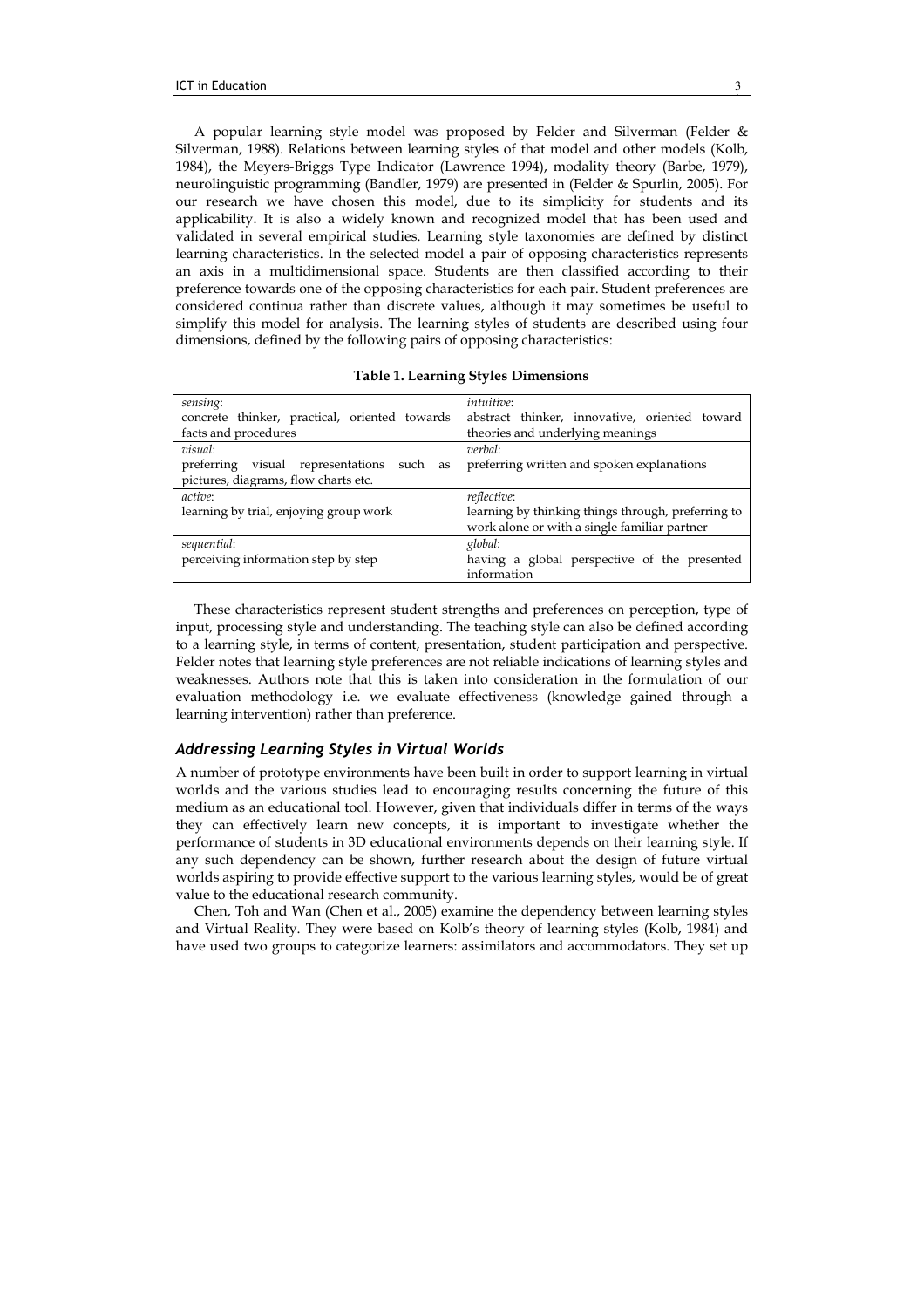A popular learning style model was proposed by Felder and Silverman (Felder & Silverman, 1988). Relations between learning styles of that model and other models (Kolb, 1984), the Meyers-Briggs Type Indicator (Lawrence 1994), modality theory (Barbe, 1979), neurolinguistic programming (Bandler, 1979) are presented in (Felder & Spurlin, 2005). For our research we have chosen this model, due to its simplicity for students and its applicability. It is also a widely known and recognized model that has been used and validated in several empirical studies. Learning style taxonomies are defined by distinct learning characteristics. In the selected model a pair of opposing characteristics represents an axis in a multidimensional space. Students are then classified according to their preference towards one of the opposing characteristics for each pair. Student preferences are considered continua rather than discrete values, although it may sometimes be useful to simplify this model for analysis. The learning styles of students are described using four dimensions, defined by the following pairs of opposing characteristics:

| sensing:                                        | <i>intuitive</i> :                                 |  |  |  |  |
|-------------------------------------------------|----------------------------------------------------|--|--|--|--|
| concrete thinker, practical, oriented towards   | abstract thinker, innovative, oriented toward      |  |  |  |  |
| facts and procedures                            | theories and underlying meanings                   |  |  |  |  |
| visual:                                         | verbal:                                            |  |  |  |  |
| preferring<br>visual representations such<br>as | preferring written and spoken explanations         |  |  |  |  |
| pictures, diagrams, flow charts etc.            |                                                    |  |  |  |  |
| active:                                         | <i>reflective</i> :                                |  |  |  |  |
| learning by trial, enjoying group work          | learning by thinking things through, preferring to |  |  |  |  |
|                                                 | work alone or with a single familiar partner       |  |  |  |  |
| sequential:                                     | global:                                            |  |  |  |  |
| perceiving information step by step             | having a global perspective of the presented       |  |  |  |  |

Table 1. Learning Styles Dimensions

These characteristics represent student strengths and preferences on perception, type of input, processing style and understanding. The teaching style can also be defined according to a learning style, in terms of content, presentation, student participation and perspective. Felder notes that learning style preferences are not reliable indications of learning styles and weaknesses. Authors note that this is taken into consideration in the formulation of our evaluation methodology i.e. we evaluate effectiveness (knowledge gained through a learning intervention) rather than preference.

information

## Addressing Learning Styles in Virtual Worlds

A number of prototype environments have been built in order to support learning in virtual worlds and the various studies lead to encouraging results concerning the future of this medium as an educational tool. However, given that individuals differ in terms of the ways they can effectively learn new concepts, it is important to investigate whether the performance of students in 3D educational environments depends on their learning style. If any such dependency can be shown, further research about the design of future virtual worlds aspiring to provide effective support to the various learning styles, would be of great value to the educational research community.

Chen, Toh and Wan (Chen et al., 2005) examine the dependency between learning styles and Virtual Reality. They were based on Kolb's theory of learning styles (Kolb, 1984) and have used two groups to categorize learners: assimilators and accommodators. They set up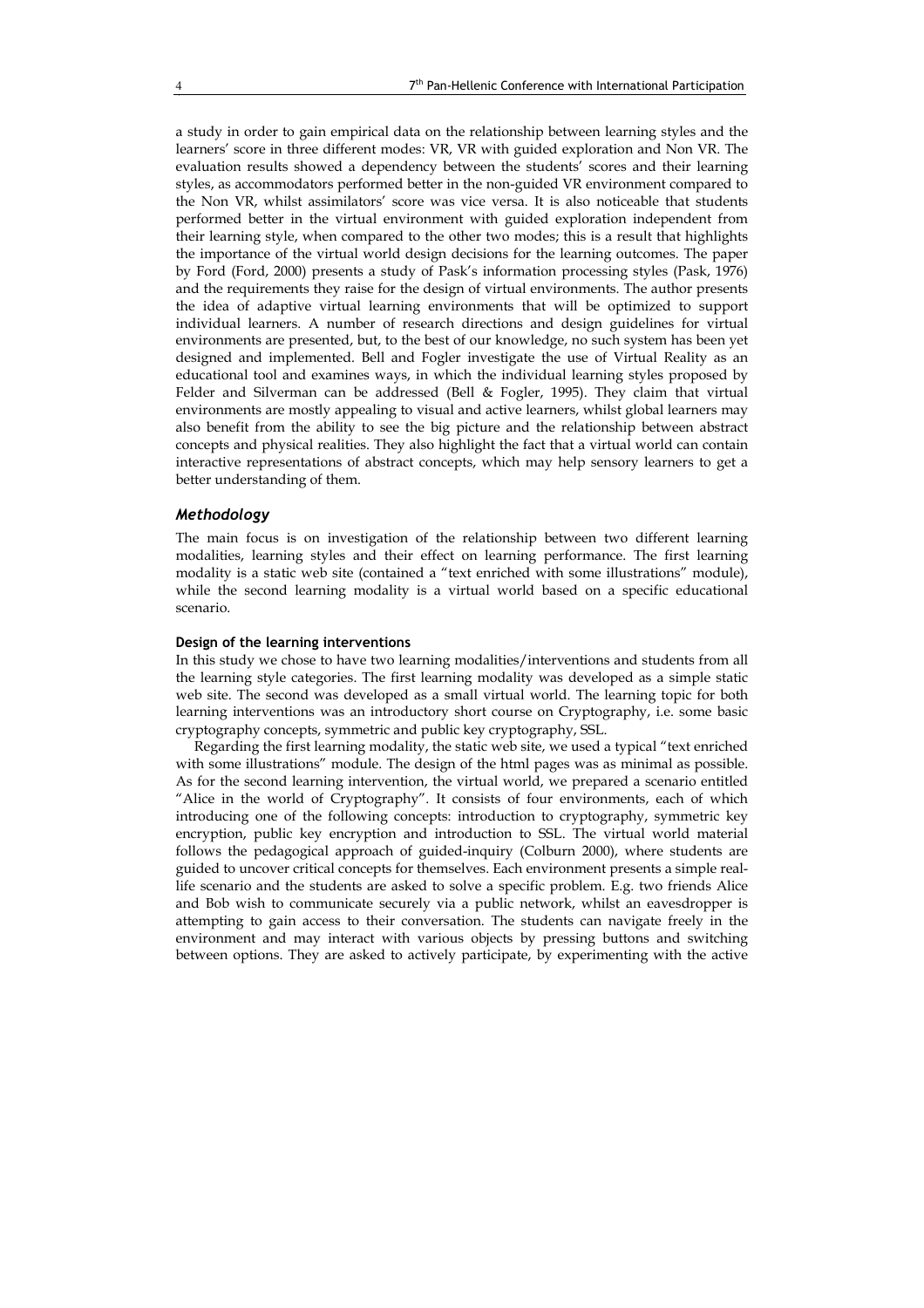a study in order to gain empirical data on the relationship between learning styles and the learners' score in three different modes: VR, VR with guided exploration and Non VR. The evaluation results showed a dependency between the students' scores and their learning styles, as accommodators performed better in the non-guided VR environment compared to the Non VR, whilst assimilators' score was vice versa. It is also noticeable that students performed better in the virtual environment with guided exploration independent from their learning style, when compared to the other two modes; this is a result that highlights the importance of the virtual world design decisions for the learning outcomes. The paper by Ford (Ford, 2000) presents a study of Pask's information processing styles (Pask, 1976) and the requirements they raise for the design of virtual environments. The author presents the idea of adaptive virtual learning environments that will be optimized to support individual learners. A number of research directions and design guidelines for virtual environments are presented, but, to the best of our knowledge, no such system has been yet designed and implemented. Bell and Fogler investigate the use of Virtual Reality as an educational tool and examines ways, in which the individual learning styles proposed by Felder and Silverman can be addressed (Bell & Fogler, 1995). They claim that virtual environments are mostly appealing to visual and active learners, whilst global learners may also benefit from the ability to see the big picture and the relationship between abstract concepts and physical realities. They also highlight the fact that a virtual world can contain interactive representations of abstract concepts, which may help sensory learners to get a better understanding of them.

## Methodology

The main focus is on investigation of the relationship between two different learning modalities, learning styles and their effect on learning performance. The first learning modality is a static web site (contained a "text enriched with some illustrations" module), while the second learning modality is a virtual world based on a specific educational scenario.

#### Design of the learning interventions

In this study we chose to have two learning modalities/interventions and students from all the learning style categories. The first learning modality was developed as a simple static web site. The second was developed as a small virtual world. The learning topic for both learning interventions was an introductory short course on Cryptography, i.e. some basic cryptography concepts, symmetric and public key cryptography, SSL.

Regarding the first learning modality, the static web site, we used a typical "text enriched with some illustrations" module. The design of the html pages was as minimal as possible. As for the second learning intervention, the virtual world, we prepared a scenario entitled "Alice in the world of Cryptography". It consists of four environments, each of which introducing one of the following concepts: introduction to cryptography, symmetric key encryption, public key encryption and introduction to SSL. The virtual world material follows the pedagogical approach of guided-inquiry (Colburn 2000), where students are guided to uncover critical concepts for themselves. Each environment presents a simple reallife scenario and the students are asked to solve a specific problem. E.g. two friends Alice and Bob wish to communicate securely via a public network, whilst an eavesdropper is attempting to gain access to their conversation. The students can navigate freely in the environment and may interact with various objects by pressing buttons and switching between options. They are asked to actively participate, by experimenting with the active

Ī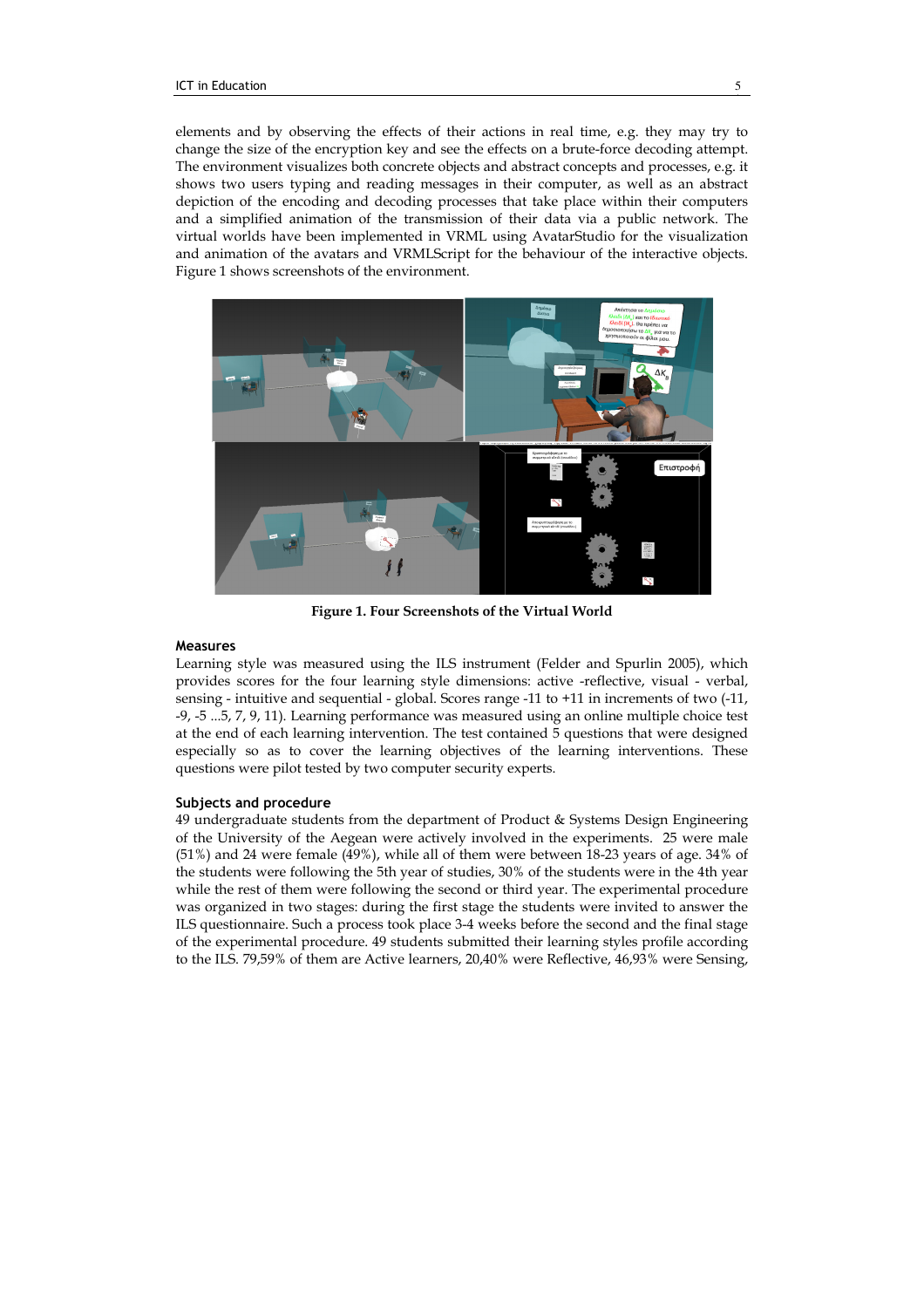elements and by observing the effects of their actions in real time, e.g. they may try to change the size of the encryption key and see the effects on a brute-force decoding attempt. The environment visualizes both concrete objects and abstract concepts and processes, e.g. it shows two users typing and reading messages in their computer, as well as an abstract depiction of the encoding and decoding processes that take place within their computers and a simplified animation of the transmission of their data via a public network. The virtual worlds have been implemented in VRML using AvatarStudio for the visualization and animation of the avatars and VRMLScript for the behaviour of the interactive objects. Figure 1 shows screenshots of the environment.



Figure 1. Four Screenshots of the Virtual World

## Measures

Learning style was measured using the ILS instrument (Felder and Spurlin 2005), which provides scores for the four learning style dimensions: active -reflective, visual - verbal, sensing - intuitive and sequential - global. Scores range -11 to +11 in increments of two (-11, -9, -5 ...5, 7, 9, 11). Learning performance was measured using an online multiple choice test at the end of each learning intervention. The test contained 5 questions that were designed especially so as to cover the learning objectives of the learning interventions. These questions were pilot tested by two computer security experts.

## Subjects and procedure

49 undergraduate students from the department of Product & Systems Design Engineering of the University of the Aegean were actively involved in the experiments. 25 were male (51%) and 24 were female (49%), while all of them were between 18-23 years of age. 34% of the students were following the 5th year of studies, 30% of the students were in the 4th year while the rest of them were following the second or third year. The experimental procedure was organized in two stages: during the first stage the students were invited to answer the ILS questionnaire. Such a process took place 3-4 weeks before the second and the final stage of the experimental procedure. 49 students submitted their learning styles profile according to the ILS. 79,59% of them are Active learners, 20,40% were Reflective, 46,93% were Sensing,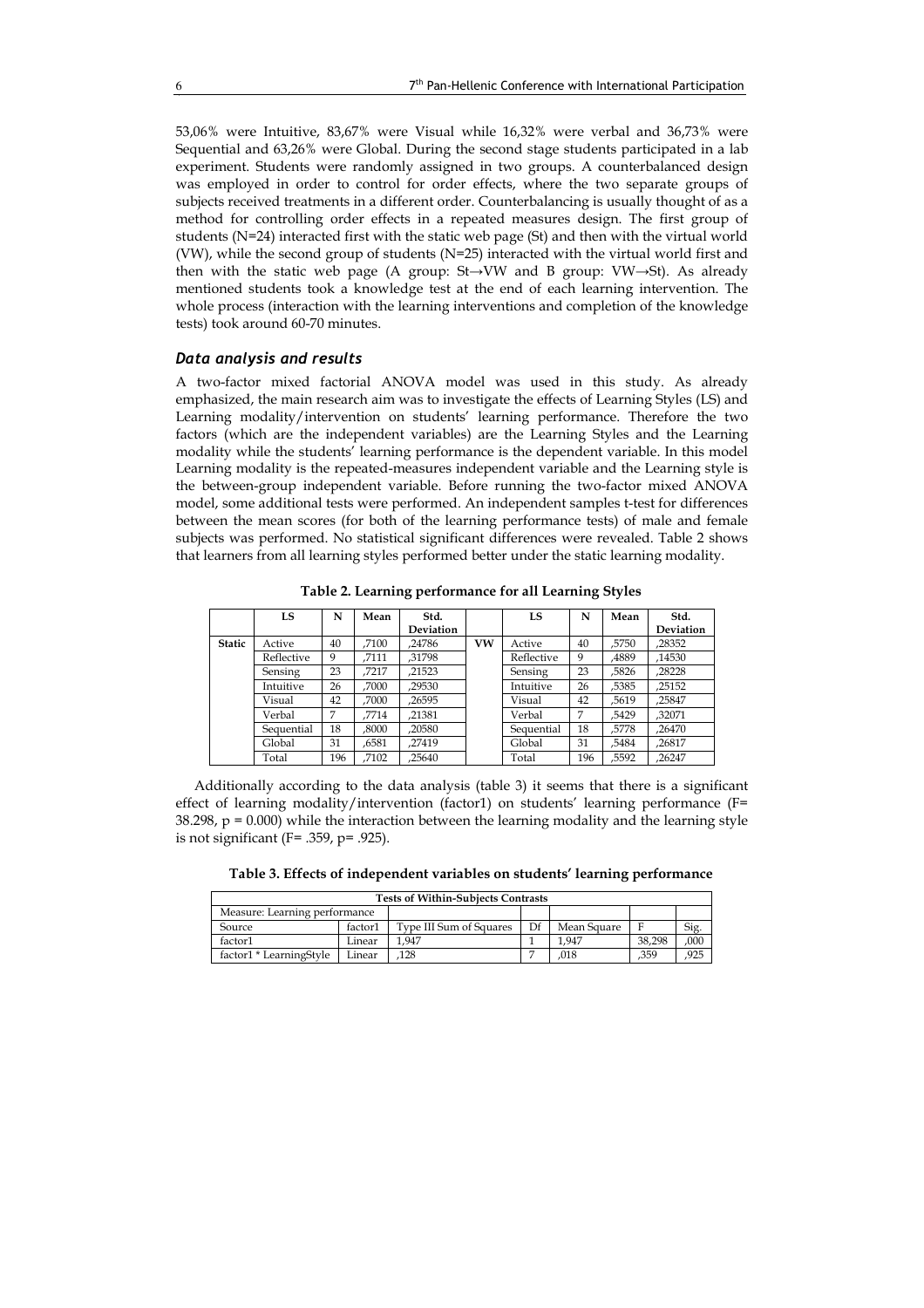53,06% were Intuitive, 83,67% were Visual while 16,32% were verbal and 36,73% were Sequential and 63,26% were Global. During the second stage students participated in a lab experiment. Students were randomly assigned in two groups. A counterbalanced design was employed in order to control for order effects, where the two separate groups of subjects received treatments in a different order. Counterbalancing is usually thought of as a method for controlling order effects in a repeated measures design. The first group of students (N=24) interacted first with the static web page (St) and then with the virtual world (VW), while the second group of students (N=25) interacted with the virtual world first and then with the static web page (A group: St→VW and B group: VW→St). As already mentioned students took a knowledge test at the end of each learning intervention. The whole process (interaction with the learning interventions and completion of the knowledge tests) took around 60-70 minutes.

## Data analysis and results

A two-factor mixed factorial ANOVA model was used in this study. As already emphasized, the main research aim was to investigate the effects of Learning Styles (LS) and Learning modality/intervention on students' learning performance. Therefore the two factors (which are the independent variables) are the Learning Styles and the Learning modality while the students' learning performance is the dependent variable. In this model Learning modality is the repeated-measures independent variable and the Learning style is the between-group independent variable. Before running the two-factor mixed ANOVA model, some additional tests were performed. An independent samples t-test for differences between the mean scores (for both of the learning performance tests) of male and female subjects was performed. No statistical significant differences were revealed. Table 2 shows that learners from all learning styles performed better under the static learning modality.

|               | LS         | N   | Mean  | Std.<br><b>Deviation</b> |    | LS         | N   | Mean  | Std.<br><b>Deviation</b> |
|---------------|------------|-----|-------|--------------------------|----|------------|-----|-------|--------------------------|
| <b>Static</b> | Active     | 40  | .7100 | .24786                   | VW | Active     | 40  | .5750 | .28352                   |
|               | Reflective | 9   | .7111 | .31798                   |    | Reflective | 9   | .4889 | .14530                   |
|               | Sensing    | 23  | .7217 | .21523                   |    | Sensing    | 23  | .5826 | .28228                   |
|               | Intuitive  | 26  | .7000 | ,29530                   |    | Intuitive  | 26  | .5385 | .25152                   |
|               | Visual     | 42  | .7000 | .26595                   |    | Visual     | 42  | .5619 | .25847                   |
|               | Verbal     | 7   | .7714 | .21381                   |    | Verbal     | 7   | .5429 | .32071                   |
|               | Sequential | 18  | .8000 | .20580                   |    | Sequential | 18  | .5778 | .26470                   |
|               | Global     | 31  | .6581 | .27419                   |    | Global     | 31  | .5484 | .26817                   |
|               | Total      | 196 | .7102 | .25640                   |    | Total      | 196 | .5592 | .26247                   |

Table 2. Learning performance for all Learning Styles

Additionally according to the data analysis (table 3) it seems that there is a significant effect of learning modality/intervention (factor1) on students' learning performance (F=  $38.298$ ,  $p = 0.000$ ) while the interaction between the learning modality and the learning style is not significant (F= .359, p= .925).

Table 3. Effects of independent variables on students' learning performance

| <b>Tests of Within-Subiects Contrasts</b> |         |                         |    |             |        |                 |  |
|-------------------------------------------|---------|-------------------------|----|-------------|--------|-----------------|--|
| Measure: Learning performance             |         |                         |    |             |        |                 |  |
| Source                                    | factor1 | Type III Sum of Squares | Df | Mean Square |        | Si <sub>g</sub> |  |
| factor1                                   | Linear  | 1.947                   |    | 1.947       | 38.298 | ,000            |  |
| factor1 * LearningStyle                   | Linear  | 128                     |    | .018        | .359   | .925            |  |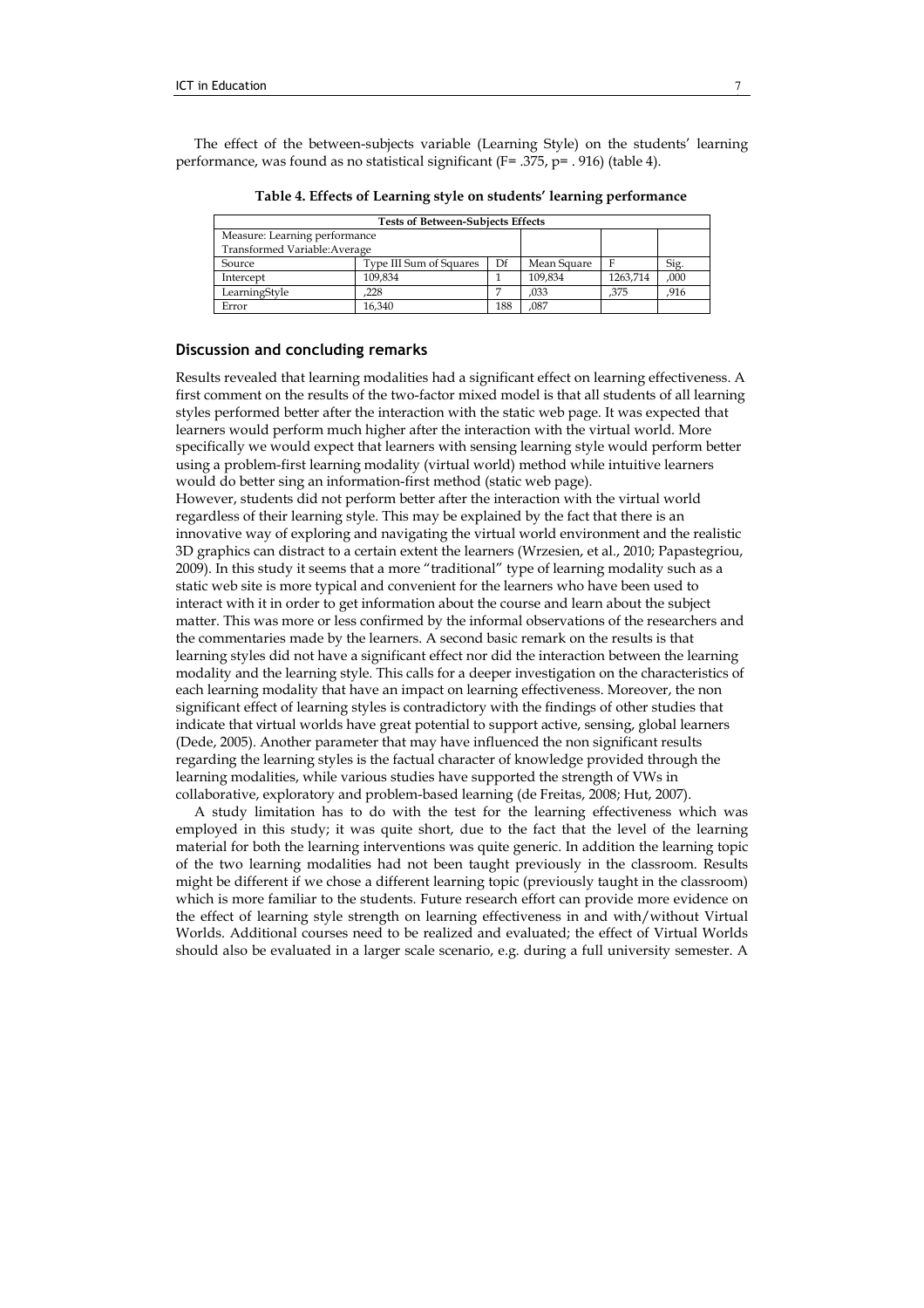The effect of the between-subjects variable (Learning Style) on the students' learning performance, was found as no statistical significant (F= .375, p= . 916) (table 4).

| <b>Tests of Between-Subjects Effects</b> |                         |             |         |          |      |  |  |  |  |
|------------------------------------------|-------------------------|-------------|---------|----------|------|--|--|--|--|
| Measure: Learning performance            |                         |             |         |          |      |  |  |  |  |
| Transformed Variable: Average            |                         |             |         |          |      |  |  |  |  |
| Source                                   | Type III Sum of Squares | Mean Square |         | Sig.     |      |  |  |  |  |
| Intercept                                | 109.834                 |             | 109.834 | 1263.714 | ,000 |  |  |  |  |
| LearningStyle                            | 228                     |             | .033    | .375     | .916 |  |  |  |  |
| Error                                    | 16.340                  | 188         | .087    |          |      |  |  |  |  |

Table 4. Effects of Learning style on students' learning performance

# Discussion and concluding remarks

Results revealed that learning modalities had a significant effect on learning effectiveness. A first comment on the results of the two-factor mixed model is that all students of all learning styles performed better after the interaction with the static web page. It was expected that learners would perform much higher after the interaction with the virtual world. More specifically we would expect that learners with sensing learning style would perform better using a problem-first learning modality (virtual world) method while intuitive learners would do better sing an information-first method (static web page). However, students did not perform better after the interaction with the virtual world regardless of their learning style. This may be explained by the fact that there is an innovative way of exploring and navigating the virtual world environment and the realistic 3D graphics can distract to a certain extent the learners (Wrzesien, et al., 2010; Papastegriou, 2009). In this study it seems that a more "traditional" type of learning modality such as a static web site is more typical and convenient for the learners who have been used to interact with it in order to get information about the course and learn about the subject matter. This was more or less confirmed by the informal observations of the researchers and the commentaries made by the learners. A second basic remark on the results is that learning styles did not have a significant effect nor did the interaction between the learning modality and the learning style. This calls for a deeper investigation on the characteristics of each learning modality that have an impact on learning effectiveness. Moreover, the non significant effect of learning styles is contradictory with the findings of other studies that indicate that virtual worlds have great potential to support active, sensing, global learners (Dede, 2005). Another parameter that may have influenced the non significant results regarding the learning styles is the factual character of knowledge provided through the learning modalities, while various studies have supported the strength of VWs in collaborative, exploratory and problem-based learning (de Freitas, 2008; Hut, 2007).

A study limitation has to do with the test for the learning effectiveness which was employed in this study; it was quite short, due to the fact that the level of the learning material for both the learning interventions was quite generic. In addition the learning topic of the two learning modalities had not been taught previously in the classroom. Results might be different if we chose a different learning topic (previously taught in the classroom) which is more familiar to the students. Future research effort can provide more evidence on the effect of learning style strength on learning effectiveness in and with/without Virtual Worlds. Additional courses need to be realized and evaluated; the effect of Virtual Worlds should also be evaluated in a larger scale scenario, e.g. during a full university semester. A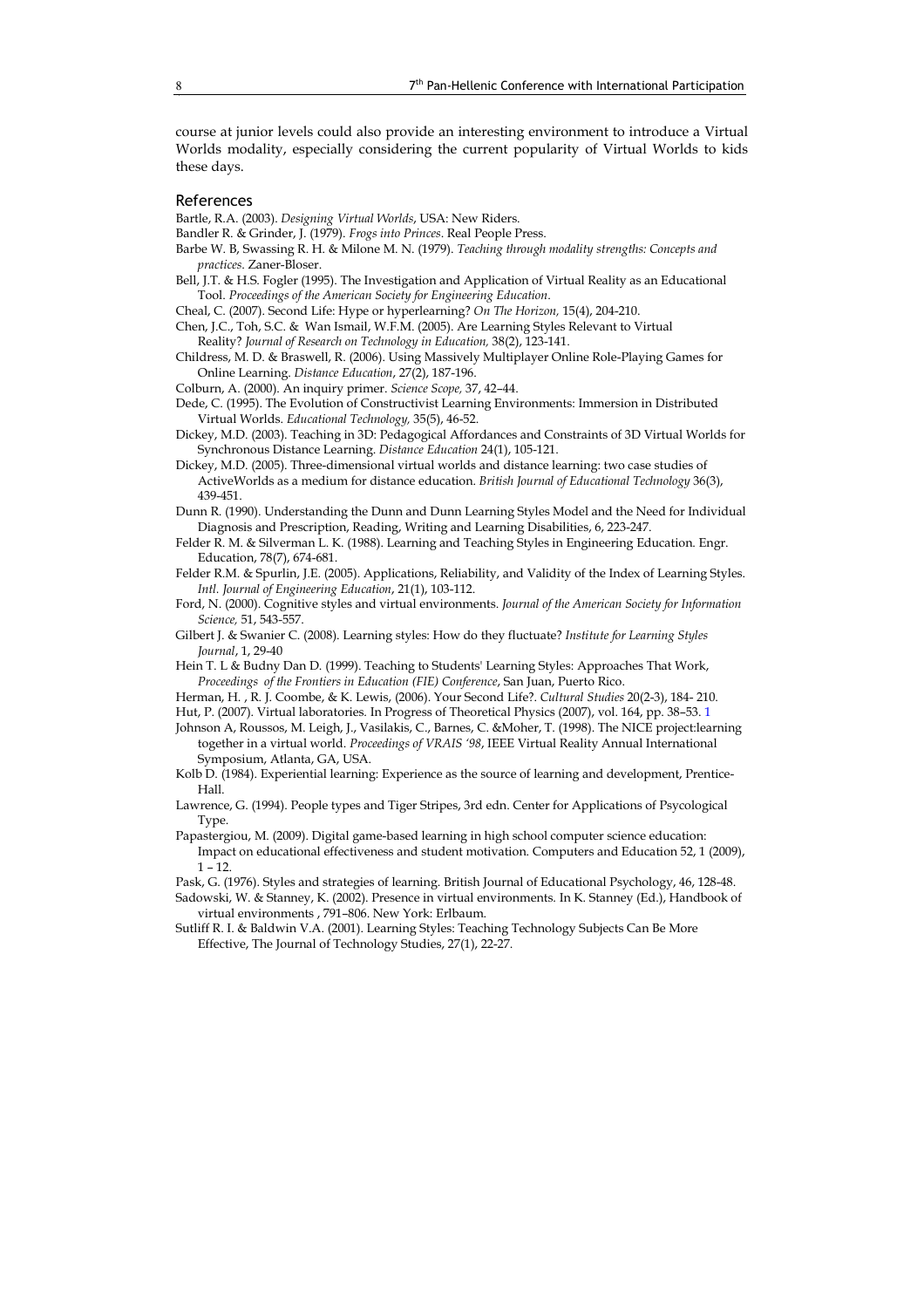course at junior levels could also provide an interesting environment to introduce a Virtual Worlds modality, especially considering the current popularity of Virtual Worlds to kids these days.

## References

Bartle, R.A. (2003). Designing Virtual Worlds, USA: New Riders.

Bandler R. & Grinder, J. (1979). Frogs into Princes. Real People Press.

- Barbe W. B, Swassing R. H. & Milone M. N. (1979). Teaching through modality strengths: Concepts and practices. Zaner-Bloser.
- Bell, J.T. & H.S. Fogler (1995). The Investigation and Application of Virtual Reality as an Educational Tool. Proceedings of the American Society for Engineering Education.

Cheal, C. (2007). Second Life: Hype or hyperlearning? On The Horizon, 15(4), 204-210.

- Chen, J.C., Toh, S.C. & Wan Ismail, W.F.M. (2005). Are Learning Styles Relevant to Virtual Reality? Journal of Research on Technology in Education, 38(2), 123-141.
- Childress, M. D. & Braswell, R. (2006). Using Massively Multiplayer Online Role-Playing Games for Online Learning. Distance Education, 27(2), 187-196.

Colburn, A. (2000). An inquiry primer. Science Scope, 37, 42–44.

- Dede, C. (1995). The Evolution of Constructivist Learning Environments: Immersion in Distributed Virtual Worlds. Educational Technology, 35(5), 46-52.
- Dickey, M.D. (2003). Teaching in 3D: Pedagogical Affordances and Constraints of 3D Virtual Worlds for Synchronous Distance Learning. Distance Education 24(1), 105-121.
- Dickey, M.D. (2005). Three-dimensional virtual worlds and distance learning: two case studies of ActiveWorlds as a medium for distance education. British Journal of Educational Technology 36(3), 439-451.
- Dunn R. (1990). Understanding the Dunn and Dunn Learning Styles Model and the Need for Individual Diagnosis and Prescription, Reading, Writing and Learning Disabilities, 6, 223-247.
- Felder R. M. & Silverman L. K. (1988). Learning and Teaching Styles in Engineering Education. Engr. Education, 78(7), 674-681.
- Felder R.M. & Spurlin, J.E. (2005). Applications, Reliability, and Validity of the Index of Learning Styles. Intl. Journal of Engineering Education, 21(1), 103-112.
- Ford, N. (2000). Cognitive styles and virtual environments. Journal of the American Society for Information Science, 51, 543-557.
- Gilbert J. & Swanier C. (2008). Learning styles: How do they fluctuate? Institute for Learning Styles Journal, 1, 29-40
- Hein T. L & Budny Dan D. (1999). Teaching to Students' Learning Styles: Approaches That Work, Proceedings of the Frontiers in Education (FIE) Conference, San Juan, Puerto Rico.
- Herman, H. , R. J. Coombe, & K. Lewis, (2006). Your Second Life?. Cultural Studies 20(2-3), 184- 210. Hut, P. (2007). Virtual laboratories. In Progress of Theoretical Physics (2007), vol. 164, pp. 38–53. 1
- Johnson A, Roussos, M. Leigh, J., Vasilakis, C., Barnes, C. &Moher, T. (1998). The NICE project:learning together in a virtual world. Proceedings of VRAIS '98, IEEE Virtual Reality Annual International Symposium, Atlanta, GA, USA.
- Kolb D. (1984). Experiential learning: Experience as the source of learning and development, Prentice-Hall.
- Lawrence, G. (1994). People types and Tiger Stripes, 3rd edn. Center for Applications of Psycological Type.
- Papastergiou, M. (2009). Digital game-based learning in high school computer science education: Impact on educational effectiveness and student motivation. Computers and Education 52, 1 (2009),  $1 - 12$
- Pask, G. (1976). Styles and strategies of learning. British Journal of Educational Psychology, 46, 128-48. Sadowski, W. & Stanney, K. (2002). Presence in virtual environments. In K. Stanney (Ed.), Handbook of virtual environments , 791–806. New York: Erlbaum.
- Sutliff R. I. & Baldwin V.A. (2001). Learning Styles: Teaching Technology Subjects Can Be More Effective, The Journal of Technology Studies, 27(1), 22-27.

Ī